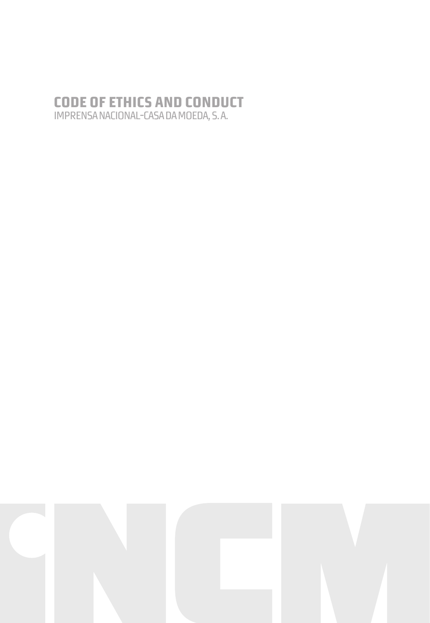# **Code of Ethics and Conduct**

IMPRENSA NACIONAL-CASA DA MOEDA, S. A.

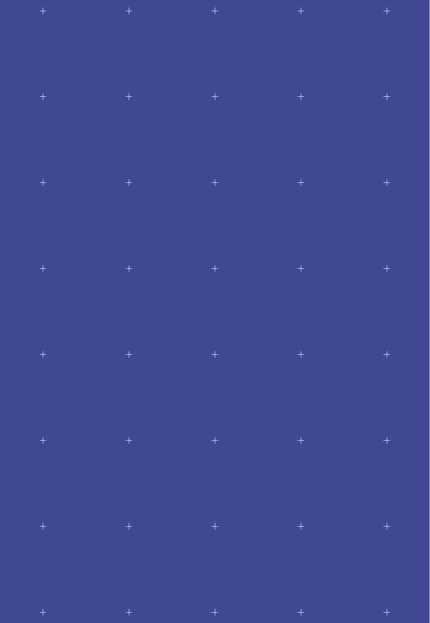| $\pm$                     |                                                                                                                        |                                                                                                                                                                                           |       |
|---------------------------|------------------------------------------------------------------------------------------------------------------------|-------------------------------------------------------------------------------------------------------------------------------------------------------------------------------------------|-------|
| $\left. +\right.$         |                                                                                                                        |                                                                                                                                                                                           |       |
| $\left\vert +\right\vert$ |                                                                                                                        |                                                                                                                                                                                           |       |
| $\left\vert +\right\vert$ |                                                                                                                        |                                                                                                                                                                                           |       |
| $\,+\,$                   |                                                                                                                        | where $\mathcal{L} = \mathcal{L} + \mathcal{L}$ and $\mathcal{L} = \mathcal{L} + \mathcal{L}$ and $\mathcal{L} = \mathcal{L} + \mathcal{L}$ and $\mathcal{L} = \mathcal{L} + \mathcal{L}$ | $\pm$ |
| $\,+\,$                   | $\begin{array}{cccccccccccccc} + & & & & & & + & & & & & + & & & & & + & & & & & \end{array}$                          |                                                                                                                                                                                           | $\pm$ |
| $\,+\,$                   | where $\frac{1}{2}$ is the contract of $\frac{1}{2}$ in the contract of $\frac{1}{2}$ is the contract of $\frac{1}{2}$ |                                                                                                                                                                                           | $\pm$ |
|                           |                                                                                                                        |                                                                                                                                                                                           |       |

 $\frac{1}{2}$  $\frac{1}{2}$  $\color{red}{+}$  $\label{eq:3} +$  $\color{red}{+}$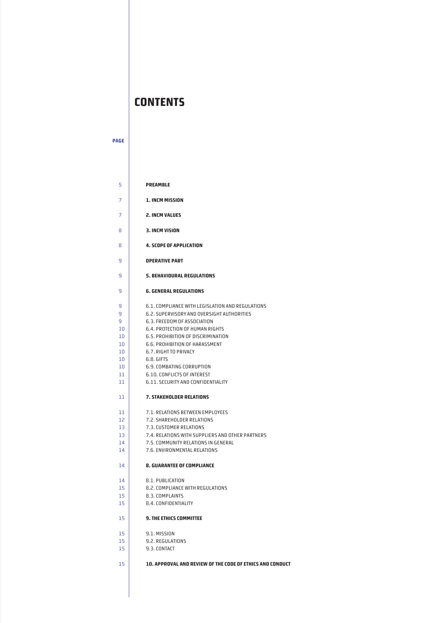## **CONTENTS**

#### **PAGE**

| 5        | <b>PREAMBLE</b>                                           |
|----------|-----------------------------------------------------------|
| 7        | 1. INCM MISSION                                           |
| 7        | <b>2. INCM VALUES</b>                                     |
| 8        | 3. INCM VISION                                            |
| 8        | <b>4. SCOPE OF APPLICATION</b>                            |
| 9        | <b>OPERATIVE PART</b>                                     |
| 9        | <b>5. BEHAVIOURAL REGULATIONS</b>                         |
| 9        | <b>6. GENERAL REGULATIONS</b>                             |
| 9        | 6.1. COMPLIANCE WITH LEGISLATION AND REGULATIONS          |
| 9        | 6.2. SUPERVISORY AND OVERSIGHT AUTHORITIES                |
| 9        | 6.3. FREEDOM OF ASSOCIATION                               |
| 10       | 6.4. PROTECTION OF HUMAN RIGHTS                           |
| 10       | 6.5. PROHIBITION OF DISCRIMINATION                        |
| 10       | 6.6. PROHIBITION OF HARASSMENT                            |
| 10       | 6.7. RIGHT TO PRIVACY                                     |
| 10<br>10 | 6.8. GIFTS                                                |
| 11       | 6.9. COMBATING CORRUPTION<br>6.10. CONFLICTS OF INTEREST  |
| 11       | 6.11. SECURITY AND CONFIDENTIALITY                        |
| 11       | 7. STAKEHOLDER RELATIONS                                  |
| 11       | 7.1. RELATIONS BETWEEN EMPLOYEES                          |
| 12       | 7.2. SHAREHOLDER RELATIONS                                |
| 13       | 7.3. CUSTOMER RELATIONS                                   |
| 13       | 7.4. RELATIONS WITH SUPPLIERS AND OTHER PARTNERS          |
| 14       | 7.5. COMMUNITY RELATIONS IN GENERAL                       |
| 14       | 7.6. ENVIRONMENTAL RELATIONS                              |
| 14       | <b>8. GUARANTEE OF COMPLIANCE</b>                         |
| 14       | 8.1. PUBLICATION                                          |
| 15       | 8.2. COMPLIANCE WITH REGULATIONS                          |
| 15       | 8.3. COMPLAINTS                                           |
| 15       | 8.4. CONFIDENTIALITY                                      |
| 15       | <b>9. THE ETHICS COMMITTEE</b>                            |
| 15       | 9.1. MISSION                                              |
| 15       | 9.2. REGULATIONS                                          |
| 15       | 9.3. CONTACT                                              |
| 15       | 10. APPROVAL AND REVIEW OF THE CODE OF ETHICS AND CONDUCT |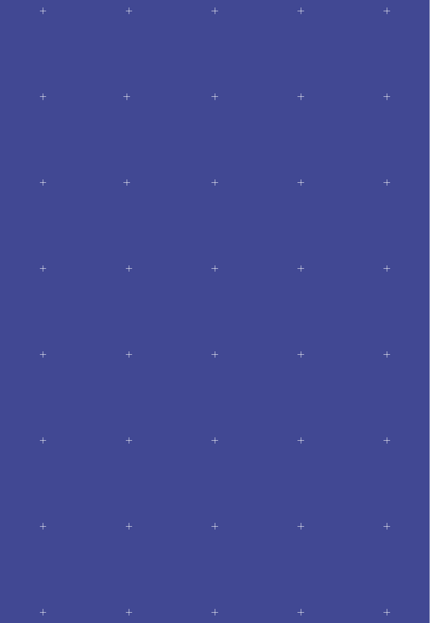| $\pm$             |                                                                                                                                                             |            |                                                                                         |       |
|-------------------|-------------------------------------------------------------------------------------------------------------------------------------------------------------|------------|-----------------------------------------------------------------------------------------|-------|
| $\label{eq:3} +$  |                                                                                                                                                             |            | $+$                                                                                     |       |
| $\label{eq:3} +$  |                                                                                                                                                             |            |                                                                                         |       |
| $\left. +\right.$ |                                                                                                                                                             |            | $\begin{array}{cccccccccccccc} + & & & & & & + & & & & + & & & & + & & & & \end{array}$ |       |
| $\,+\,$           | where $\frac{1}{2}$ is the contract of $\frac{1}{2}$ is the contract of $\frac{1}{2}$ is the contract of $\frac{1}{2}$ is the contract of $\frac{1}{2}$     |            |                                                                                         | $\pm$ |
| $\,+\,$           | $+$<br>$\frac{1}{2} \left( \frac{1}{2} \right) \left( \frac{1}{2} \right) \left( \frac{1}{2} \right) \left( \frac{1}{2} \right) \left( \frac{1}{2} \right)$ | $\sim$ $+$ |                                                                                         | $\pm$ |
| $\,+\,$           | $\begin{array}{cccccccccccccc} + & & & & & & + & & & & & + & & & & & + & & & & & \end{array}$                                                               |            |                                                                                         | $\pm$ |
|                   |                                                                                                                                                             |            |                                                                                         |       |

 $\color{red}{+}$  $\frac{1}{2}$  $\color{red}{+}$  $\label{eq:3} +$  $\label{eq:3} +$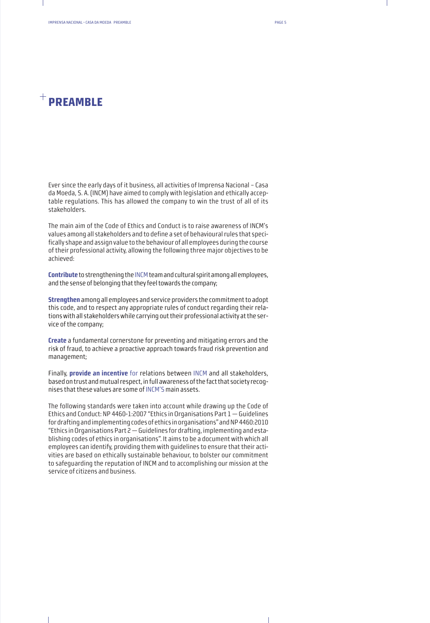## **PREAMBLE**

Ever since the early days of it business, all activities of Imprensa Nacional – Casa da Moeda, S. A. (INCM) have aimed to comply with legislation and ethically acceptable regulations. This has allowed the company to win the trust of all of its stakeholders.

The main aim of the Code of Ethics and Conduct is to raise awareness of INCM's values among all stakeholders and to define a set of behavioural rules that specifically shape and assign value to the behaviour of all employees during the course of their professional activity, allowing the following three major objectives to be achieved:

**Contribute** to strengthening the INCM team and cultural spirit among all employees, and the sense of belonging that they feel towards the company;

**Strengthen** among all employees and service providers the commitment to adopt this code, and to respect any appropriate rules of conduct regarding their relations with all stakeholders while carrying out their professional activity at the service of the company;

**Create** a fundamental cornerstone for preventing and mitigating errors and the risk of fraud, to achieve a proactive approach towards fraud risk prevention and management;

Finally, **provide an incentive** for relations between INCM and all stakeholders, based on trust and mutual respect, in full awareness of the fact that society recognises that these values are some of INCM'S main assets.

The following standards were taken into account while drawing up the Code of Ethics and Conduct: NP 4460-1:2007 "Ethics in Organisations Part 1 — Guidelines for drafting and implementing codes of ethics in organisations" and NP 4460:2010 "Ethics in Organisations Part 2—Guidelines for drafting, implementing and establishing codes of ethics in organisations". It aims to be a document with which all employees can identify, providing them with guidelines to ensure that their activities are based on ethically sustainable behaviour, to bolster our commitment to safeguarding the reputation of INCM and to accomplishing our mission at the service of citizens and business.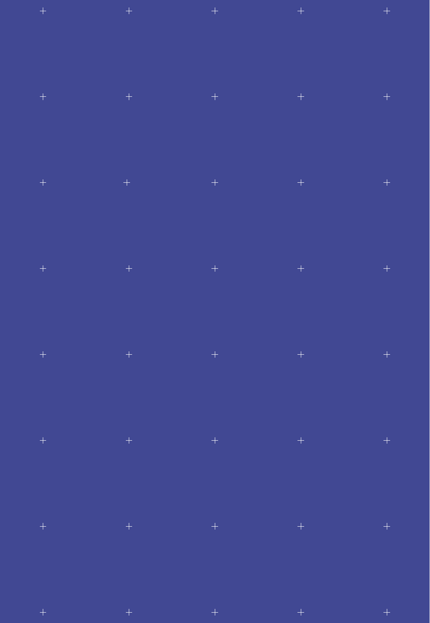| $\pm$                     |                                                                                                                                                                                           |  |       |
|---------------------------|-------------------------------------------------------------------------------------------------------------------------------------------------------------------------------------------|--|-------|
| $\frac{1}{2}$             |                                                                                                                                                                                           |  |       |
| $\frac{1}{2}$             |                                                                                                                                                                                           |  |       |
| $\left\vert +\right\vert$ |                                                                                                                                                                                           |  |       |
| $\,+\,$                   | where $\mathcal{L} = \mathcal{L} + \mathcal{L}$ and $\mathcal{L} = \mathcal{L} + \mathcal{L}$ and $\mathcal{L} = \mathcal{L} + \mathcal{L}$ and $\mathcal{L} = \mathcal{L} + \mathcal{L}$ |  | $\pm$ |
| $\,+\,$                   | $\begin{array}{cccccccccccccc} + & & & & & & + & & & & & + & & & & & + & & & & & \end{array}$                                                                                             |  | $\pm$ |
| $\,+\,$                   | where $\frac{1}{2}$ is the contract of $\frac{1}{2}$ in the contract of $\frac{1}{2}$ is the contract of $\frac{1}{2}$                                                                    |  | $\pm$ |
|                           |                                                                                                                                                                                           |  |       |

 $\frac{1}{2}$  $\frac{1}{2}$  $\color{red}{+}$  $\label{eq:3} +$  $\color{red}{+}$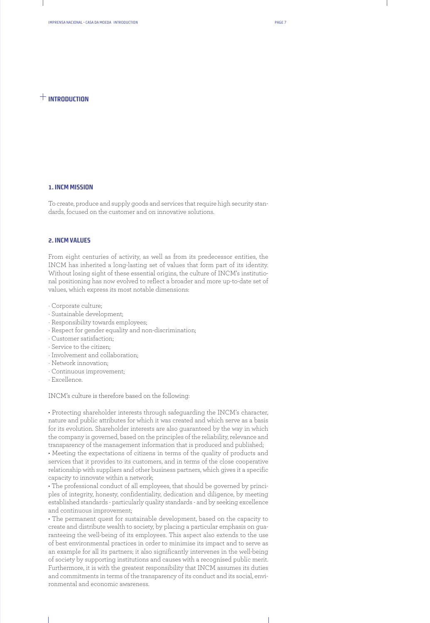## $+$ **INTRODUCTION**

## **1. INCM MISSION**

To create, produce and supply goods and services that require high security standards, focused on the customer and on innovative solutions.

#### **2. INCM VALUES**

From eight centuries of activity, as well as from its predecessor entities, the INCM has inherited a long-lasting set of values that form part of its identity. Without losing sight of these essential origins, the culture of INCM's institutional positioning has now evolved to reflect a broader and more up-to-date set of values, which express its most notable dimensions:

- · Corporate culture;
- · Sustainable development;
- · Responsibility towards employees;
- · Respect for gender equality and non-discrimination;
- · Customer satisfaction;
- · Service to the citizen;
- · Involvement and collaboration;
- · Network innovation;
- · Continuous improvement;
- · Excellence.

#### INCM's culture is therefore based on the following:

• Protecting shareholder interests through safeguarding the INCM's character, nature and public attributes for which it was created and which serve as a basis for its evolution. Shareholder interests are also guaranteed by the way in which the company is governed, based on the principles of the reliability, relevance and transparency of the management information that is produced and published;

• Meeting the expectations of citizens in terms of the quality of products and services that it provides to its customers, and in terms of the close cooperative relationship with suppliers and other business partners, which gives it a specific capacity to innovate within a network;

• The professional conduct of all employees, that should be governed by principles of integrity, honesty, confidentiality, dedication and diligence, by meeting established standards - particularly quality standards - and by seeking excellence and continuous improvement;

• The permanent quest for sustainable development, based on the capacity to create and distribute wealth to society, by placing a particular emphasis on guaranteeing the well-being of its employees. This aspect also extends to the use of best environmental practices in order to minimise its impact and to serve as an example for all its partners; it also significantly intervenes in the well-being of society by supporting institutions and causes with a recognised public merit. Furthermore, it is with the greatest responsibility that INCM assumes its duties and commitments in terms of the transparency of its conduct and its social, environmental and economic awareness.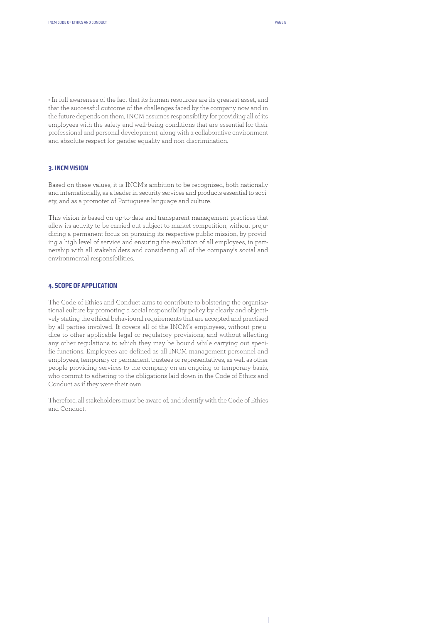• In full awareness of the fact that its human resources are its greatest asset, and that the successful outcome of the challenges faced by the company now and in the future depends on them, INCM assumes responsibility for providing all of its employees with the safety and well-being conditions that are essential for their professional and personal development, along with a collaborative environment and absolute respect for gender equality and non-discrimination.

#### **3. INCM VISION**

Based on these values, it is INCM's ambition to be recognised, both nationally and internationally, as a leader in security services and products essential to society, and as a promoter of Portuguese language and culture.

This vision is based on up-to-date and transparent management practices that allow its activity to be carried out subject to market competition, without prejudicing a permanent focus on pursuing its respective public mission, by providing a high level of service and ensuring the evolution of all employees, in partnership with all stakeholders and considering all of the company's social and environmental responsibilities.

#### **4. SCOPE OF APPLICATION**

The Code of Ethics and Conduct aims to contribute to bolstering the organisational culture by promoting a social responsibility policy by clearly and objectively stating the ethical behavioural requirements that are accepted and practised by all parties involved. It covers all of the INCM's employees, without prejudice to other applicable legal or regulatory provisions, and without affecting any other regulations to which they may be bound while carrying out specific functions. Employees are defined as all INCM management personnel and employees, temporary or permanent, trustees or representatives, as well as other people providing services to the company on an ongoing or temporary basis, who commit to adhering to the obligations laid down in the Code of Ethics and Conduct as if they were their own.

Therefore, all stakeholders must be aware of, and identify with the Code of Ethics and Conduct.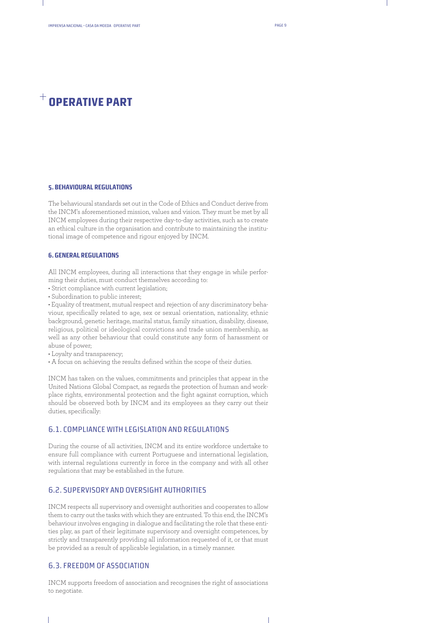## **OPERATIVE PART**

#### **5. BEHAVIOURAL REGULATIONS**

The behavioural standards set out in the Code of Ethics and Conduct derive from the INCM's aforementioned mission, values and vision. They must be met by all INCM employees during their respective day-to-day activities, such as to create an ethical culture in the organisation and contribute to maintaining the institutional image of competence and rigour enjoyed by INCM.

#### **6. GENERAL REGULATIONS**

All INCM employees, during all interactions that they engage in while performing their duties, must conduct themselves according to:

- Strict compliance with current legislation;
- Subordination to public interest;

• Equality of treatment, mutual respect and rejection of any discriminatory behaviour, specifically related to age, sex or sexual orientation, nationality, ethnic background, genetic heritage, marital status, family situation, disability, disease, religious, political or ideological convictions and trade union membership, as well as any other behaviour that could constitute any form of harassment or abuse of power;

- Loyalty and transparency;
- A focus on achieving the results defined within the scope of their duties.

INCM has taken on the values, commitments and principles that appear in the United Nations Global Compact, as regards the protection of human and workplace rights, environmental protection and the fight against corruption, which should be observed both by INCM and its employees as they carry out their duties, specifically:

## 6.1. COMPLIANCE WITH LEGISLATION AND REGULATIONS

During the course of all activities, INCM and its entire workforce undertake to ensure full compliance with current Portuguese and international legislation, with internal regulations currently in force in the company and with all other regulations that may be established in the future.

#### 6.2. SUPERVISORY AND OVERSIGHT AUTHORITIES

INCM respects all supervisory and oversight authorities and cooperates to allow them to carry out the tasks with which they are entrusted. To this end, the INCM's behaviour involves engaging in dialogue and facilitating the role that these entities play, as part of their legitimate supervisory and oversight competences, by strictly and transparently providing all information requested of it, or that must be provided as a result of applicable legislation, in a timely manner.

## 6.3. FREEDOM OF ASSOCIATION

INCM supports freedom of association and recognises the right of associations to negotiate.

 $\mathbf{I}$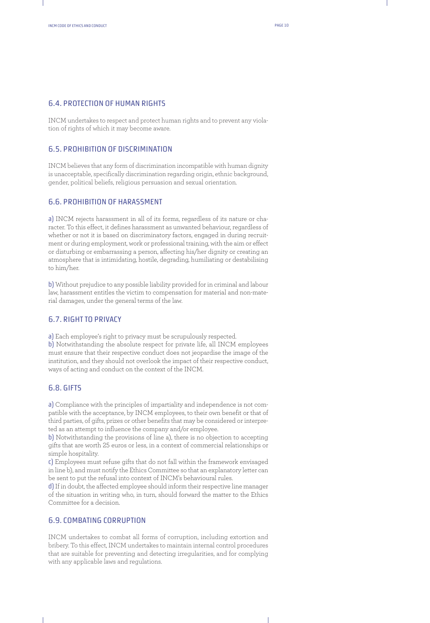#### 6.4. PROTECTION OF HUMAN RIGHTS

INCM undertakes to respect and protect human rights and to prevent any violation of rights of which it may become aware.

## 6.5. PROHIBITION OF DISCRIMINATION

INCM believes that any form of discrimination incompatible with human dignity is unacceptable, specifically discrimination regarding origin, ethnic background, gender, political beliefs, religious persuasion and sexual orientation.

#### 6.6. PROHIBITION OF HARASSMENT

a) INCM rejects harassment in all of its forms, regardless of its nature or character. To this effect, it defines harassment as unwanted behaviour, regardless of whether or not it is based on discriminatory factors, engaged in during recruitment or during employment, work or professional training, with the aim or effect or disturbing or embarrassing a person, affecting his/her dignity or creating an atmosphere that is intimidating, hostile, degrading, humiliating or destabilising to him/her.

b) Without prejudice to any possible liability provided for in criminal and labour law, harassment entitles the victim to compensation for material and non-material damages, under the general terms of the law.

## 6.7. RIGHT TO PRIVACY

a) Each employee's right to privacy must be scrupulously respected.

b) Notwithstanding the absolute respect for private life, all INCM employees must ensure that their respective conduct does not jeopardise the image of the institution, and they should not overlook the impact of their respective conduct, ways of acting and conduct on the context of the INCM.

#### 6.8. GIFTS

a) Compliance with the principles of impartiality and independence is not compatible with the acceptance, by INCM employees, to their own benefit or that of third parties, of gifts, prizes or other benefits that may be considered or interpreted as an attempt to influence the company and/or employee.

b) Notwithstanding the provisions of line a), there is no objection to accepting gifts that are worth 25 euros or less, in a context of commercial relationships or simple hospitality.

c) Employees must refuse gifts that do not fall within the framework envisaged in line b), and must notify the Ethics Committee so that an explanatory letter can be sent to put the refusal into context of INCM's behavioural rules.

d) If in doubt, the affected employee should inform their respective line manager of the situation in writing who, in turn, should forward the matter to the Ethics Committee for a decision.

## 6.9. COMBATING CORRUPTION

INCM undertakes to combat all forms of corruption, including extortion and bribery. To this effect, INCM undertakes to maintain internal control procedures that are suitable for preventing and detecting irregularities, and for complying with any applicable laws and regulations.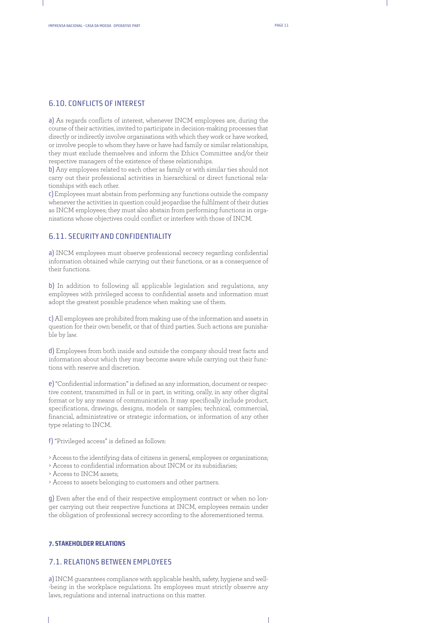#### 6.10. CONFLICTS OF INTEREST

a) As regards conflicts of interest, whenever INCM employees are, during the course of their activities, invited to participate in decision-making processes that directly or indirectly involve organisations with which they work or have worked, or involve people to whom they have or have had family or similar relationships, they must exclude themselves and inform the Ethics Committee and/or their respective managers of the existence of these relationships.

b) Any employees related to each other as family or with similar ties should not carry out their professional activities in hierarchical or direct functional relationships with each other.

c) Employees must abstain from performing any functions outside the company whenever the activities in question could jeopardise the fulfilment of their duties as INCM employees; they must also abstain from performing functions in organisations whose objectives could conflict or interfere with those of INCM.

#### 6.11. SECURITY AND CONFIDENTIALITY

a) INCM employees must observe professional secrecy regarding confidential information obtained while carrying out their functions, or as a consequence of their functions.

b) In addition to following all applicable legislation and regulations, any employees with privileged access to confidential assets and information must adopt the greatest possible prudence when making use of them.

c) All employees are prohibited from making use of the information and assets in question for their own benefit, or that of third parties. Such actions are punishable by law.

d) Employees from both inside and outside the company should treat facts and information about which they may become aware while carrying out their functions with reserve and discretion.

e) "Confidential information" is defined as any information, document or respective content, transmitted in full or in part, in writing, orally, in any other digital format or by any means of communication. It may specifically include product, specifications, drawings, designs, models or samples; technical, commercial, financial, administrative or strategic information, or information of any other type relating to INCM.

f) "Privileged access" is defined as follows:

- > Access to the identifying data of citizens in general, employees or organizations;
- > Access to confidential information about INCM or its subsidiaries;
- > Access to INCM assets;
- > Access to assets belonging to customers and other partners.

g) Even after the end of their respective employment contract or when no longer carrying out their respective functions at INCM, employees remain under the obligation of professional secrecy according to the aforementioned terms.

#### **7. STAKEHOLDER RELATIONS**

## 7.1. RELATIONS BETWEEN EMPLOYEES

a) INCM guarantees compliance with applicable health, safety, hygiene and well- -being in the workplace regulations. Its employees must strictly observe any laws, regulations and internal instructions on this matter.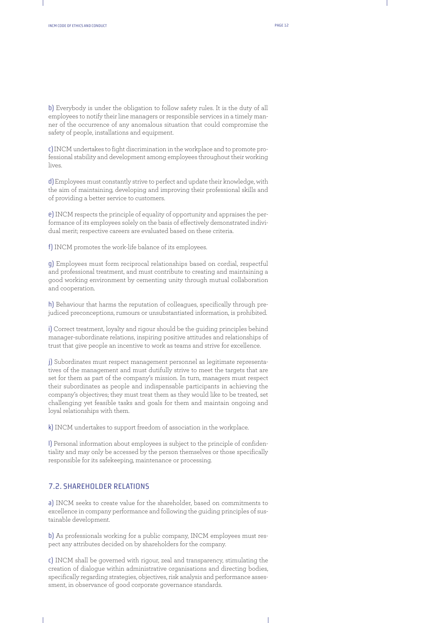b) Everybody is under the obligation to follow safety rules. It is the duty of all employees to notify their line managers or responsible services in a timely manner of the occurrence of any anomalous situation that could compromise the safety of people, installations and equipment.

c) INCM undertakes to fight discrimination in the workplace and to promote professional stability and development among employees throughout their working lives.

d) Employees must constantly strive to perfect and update their knowledge, with the aim of maintaining, developing and improving their professional skills and of providing a better service to customers.

e) INCM respects the principle of equality of opportunity and appraises the performance of its employees solely on the basis of effectively demonstrated individual merit; respective careers are evaluated based on these criteria.

f) INCM promotes the work-life balance of its employees.

g) Employees must form reciprocal relationships based on cordial, respectful and professional treatment, and must contribute to creating and maintaining a good working environment by cementing unity through mutual collaboration and cooperation.

h) Behaviour that harms the reputation of colleagues, specifically through prejudiced preconceptions, rumours or unsubstantiated information, is prohibited.

i) Correct treatment, loyalty and rigour should be the guiding principles behind manager-subordinate relations, inspiring positive attitudes and relationships of trust that give people an incentive to work as teams and strive for excellence.

j) Subordinates must respect management personnel as legitimate representatives of the management and must dutifully strive to meet the targets that are set for them as part of the company's mission. In turn, managers must respect their subordinates as people and indispensable participants in achieving the company's objectives; they must treat them as they would like to be treated, set challenging yet feasible tasks and goals for them and maintain ongoing and loyal relationships with them.

k) INCM undertakes to support freedom of association in the workplace.

l) Personal information about employees is subject to the principle of confidentiality and may only be accessed by the person themselves or those specifically responsible for its safekeeping, maintenance or processing.

## 7.2. SHAREHOLDER RELATIONS

a) INCM seeks to create value for the shareholder, based on commitments to excellence in company performance and following the guiding principles of sustainable development.

b) As professionals working for a public company, INCM employees must respect any attributes decided on by shareholders for the company.

c) INCM shall be governed with rigour, zeal and transparency, stimulating the creation of dialogue within administrative organisations and directing bodies, specifically regarding strategies, objectives, risk analysis and performance assessment, in observance of good corporate governance standards.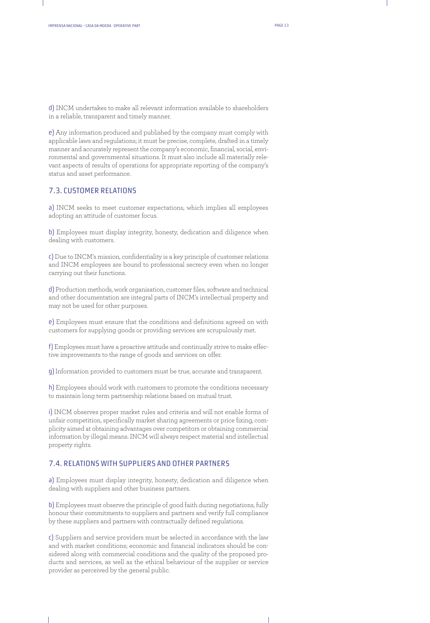d) INCM undertakes to make all relevant information available to shareholders in a reliable, transparent and timely manner.

e) Any information produced and published by the company must comply with applicable laws and regulations; it must be precise, complete, drafted in a timely manner and accurately represent the company's economic, financial, social, environmental and governmental situations. It must also include all materially relevant aspects of results of operations for appropriate reporting of the company's status and asset performance.

## 7.3. CUSTOMER RELATIONS

a) INCM seeks to meet customer expectations, which implies all employees adopting an attitude of customer focus.

b) Employees must display integrity, honesty, dedication and diligence when dealing with customers.

c) Due to INCM's mission, confidentiality is a key principle of customer relations and INCM employees are bound to professional secrecy even when no longer carrying out their functions.

d) Production methods, work organisation, customer files, software and technical and other documentation are integral parts of INCM's intellectual property and may not be used for other purposes.

e) Employees must ensure that the conditions and definitions agreed on with customers for supplying goods or providing services are scrupulously met.

f) Employees must have a proactive attitude and continually strive to make effective improvements to the range of goods and services on offer.

g) Information provided to customers must be true, accurate and transparent.

h) Employees should work with customers to promote the conditions necessary to maintain long term partnership relations based on mutual trust.

i) INCM observes proper market rules and criteria and will not enable forms of unfair competition, specifically market sharing agreements or price fixing, complicity aimed at obtaining advantages over competitors or obtaining commercial information by illegal means. INCM will always respect material and intellectual property rights.

## 7.4. RELATIONS WITH SUPPLIERS AND OTHER PARTNERS

a) Employees must display integrity, honesty, dedication and diligence when dealing with suppliers and other business partners.

b) Employees must observe the principle of good faith during negotiations, fully honour their commitments to suppliers and partners and verify full compliance by these suppliers and partners with contractually defined regulations.

c) Suppliers and service providers must be selected in accordance with the law and with market conditions; economic and financial indicators should be considered along with commercial conditions and the quality of the proposed products and services, as well as the ethical behaviour of the supplier or service provider as perceived by the general public.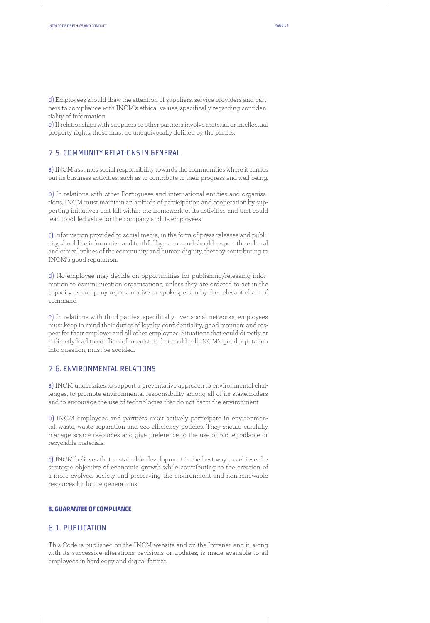d) Employees should draw the attention of suppliers, service providers and partners to compliance with INCM's ethical values, specifically regarding confidentiality of information.

e) If relationships with suppliers or other partners involve material or intellectual property rights, these must be unequivocally defined by the parties.

## 7.5. COMMUNITY RELATIONS IN GENERAL

a) INCM assumes social responsibility towards the communities where it carries out its business activities, such as to contribute to their progress and well-being.

b) In relations with other Portuguese and international entities and organisations, INCM must maintain an attitude of participation and cooperation by supporting initiatives that fall within the framework of its activities and that could lead to added value for the company and its employees.

c) Information provided to social media, in the form of press releases and publicity, should be informative and truthful by nature and should respect the cultural and ethical values of the community and human dignity, thereby contributing to INCM's good reputation.

d) No employee may decide on opportunities for publishing/releasing information to communication organisations, unless they are ordered to act in the capacity as company representative or spokesperson by the relevant chain of command.

e) In relations with third parties, specifically over social networks, employees must keep in mind their duties of loyalty, confidentiality, good manners and respect for their employer and all other employees. Situations that could directly or indirectly lead to conflicts of interest or that could call INCM's good reputation into question, must be avoided.

## 7.6. ENVIRONMENTAL RELATIONS

a) INCM undertakes to support a preventative approach to environmental challenges, to promote environmental responsibility among all of its stakeholders and to encourage the use of technologies that do not harm the environment.

b) INCM employees and partners must actively participate in environmental, waste, waste separation and eco-efficiency policies. They should carefully manage scarce resources and give preference to the use of biodegradable or recyclable materials.

c) INCM believes that sustainable development is the best way to achieve the strategic objective of economic growth while contributing to the creation of a more evolved society and preserving the environment and non-renewable resources for future generations.

#### **8. GUARANTEE OF COMPLIANCE**

## 8.1. PUBLICATION

This Code is published on the INCM website and on the Intranet, and it, along with its successive alterations, revisions or updates, is made available to all employees in hard copy and digital format.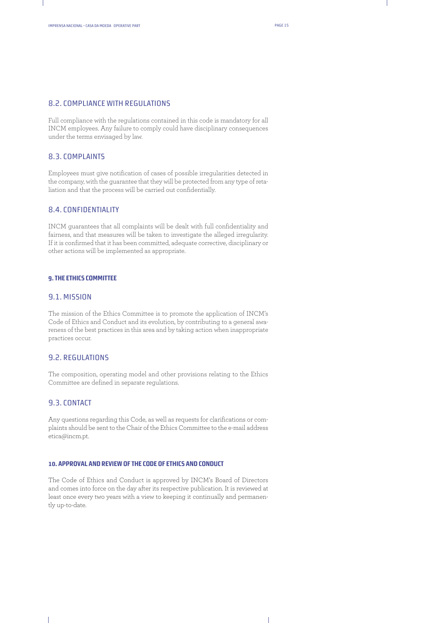#### 8.2. COMPLIANCE WITH REGULATIONS

Full compliance with the regulations contained in this code is mandatory for all INCM employees. Any failure to comply could have disciplinary consequences under the terms envisaged by law.

## 8.3. COMPLAINTS

Employees must give notification of cases of possible irregularities detected in the company, with the guarantee that they will be protected from any type of retaliation and that the process will be carried out confidentially.

## 8.4. CONFIDENTIALITY

INCM guarantees that all complaints will be dealt with full confidentiality and fairness, and that measures will be taken to investigate the alleged irregularity. If it is confirmed that it has been committed, adequate corrective, disciplinary or other actions will be implemented as appropriate.

## **9. THE ETHICS COMMITTEE**

#### 9.1. MISSION

The mission of the Ethics Committee is to promote the application of INCM's Code of Ethics and Conduct and its evolution, by contributing to a general awareness of the best practices in this area and by taking action when inappropriate practices occur.

#### 9.2. REGULATIONS

The composition, operating model and other provisions relating to the Ethics Committee are defined in separate regulations.

#### 9.3. CONTACT

Any questions regarding this Code, as well as requests for clarifications or complaints should be sent to the Chair of the Ethics Committee to the e-mail address etica@incm.pt.

## **10. APPROVAL AND REVIEW OF THE CODE OF ETHICS AND CONDUCT**

The Code of Ethics and Conduct is approved by INCM's Board of Directors and comes into force on the day after its respective publication. It is reviewed at least once every two years with a view to keeping it continually and permanently up-to-date.